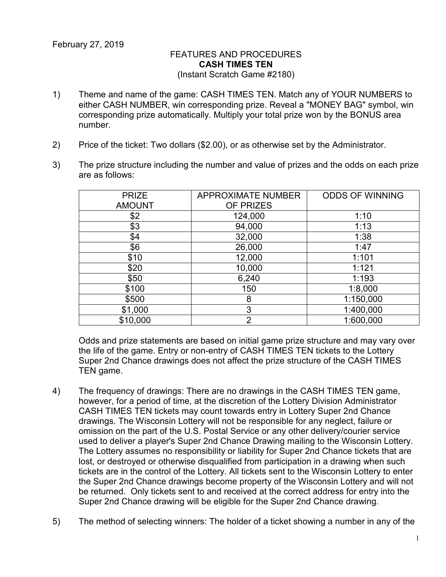## FEATURES AND PROCEDURES **CASH TIMES TEN** (Instant Scratch Game #2180)

- 1) Theme and name of the game: CASH TIMES TEN. Match any of YOUR NUMBERS to either CASH NUMBER, win corresponding prize. Reveal a "MONEY BAG" symbol, win corresponding prize automatically. Multiply your total prize won by the BONUS area number.
- 2) Price of the ticket: Two dollars (\$2.00), or as otherwise set by the Administrator.
- 3) The prize structure including the number and value of prizes and the odds on each prize are as follows:

| <b>PRIZE</b>  | <b>APPROXIMATE NUMBER</b> | <b>ODDS OF WINNING</b> |
|---------------|---------------------------|------------------------|
| <b>AMOUNT</b> | OF PRIZES                 |                        |
| \$2           | 124,000                   | 1:10                   |
| \$3           | 94,000                    | 1:13                   |
| \$4           | 32,000                    | 1:38                   |
| \$6           | 26,000                    | 1:47                   |
| \$10          | 12,000                    | 1:101                  |
| \$20          | 10,000                    | 1:121                  |
| \$50          | 6,240                     | 1:193                  |
| \$100         | 150                       | 1:8,000                |
| \$500         | 8                         | 1:150,000              |
| \$1,000       | 3                         | 1:400,000              |
| \$10,000      | າ                         | 1:600,000              |

Odds and prize statements are based on initial game prize structure and may vary over the life of the game. Entry or non-entry of CASH TIMES TEN tickets to the Lottery Super 2nd Chance drawings does not affect the prize structure of the CASH TIMES TEN game.

- 4) The frequency of drawings: There are no drawings in the CASH TIMES TEN game, however, for a period of time, at the discretion of the Lottery Division Administrator CASH TIMES TEN tickets may count towards entry in Lottery Super 2nd Chance drawings. The Wisconsin Lottery will not be responsible for any neglect, failure or omission on the part of the U.S. Postal Service or any other delivery/courier service used to deliver a player's Super 2nd Chance Drawing mailing to the Wisconsin Lottery. The Lottery assumes no responsibility or liability for Super 2nd Chance tickets that are lost, or destroyed or otherwise disqualified from participation in a drawing when such tickets are in the control of the Lottery. All tickets sent to the Wisconsin Lottery to enter the Super 2nd Chance drawings become property of the Wisconsin Lottery and will not be returned. Only tickets sent to and received at the correct address for entry into the Super 2nd Chance drawing will be eligible for the Super 2nd Chance drawing.
- 5) The method of selecting winners: The holder of a ticket showing a number in any of the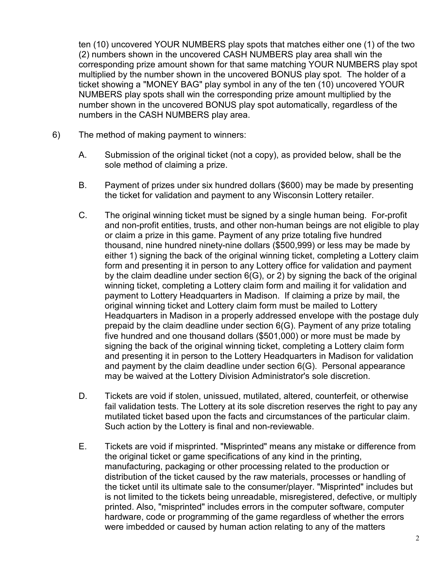ten (10) uncovered YOUR NUMBERS play spots that matches either one (1) of the two (2) numbers shown in the uncovered CASH NUMBERS play area shall win the corresponding prize amount shown for that same matching YOUR NUMBERS play spot multiplied by the number shown in the uncovered BONUS play spot. The holder of a ticket showing a "MONEY BAG" play symbol in any of the ten (10) uncovered YOUR NUMBERS play spots shall win the corresponding prize amount multiplied by the number shown in the uncovered BONUS play spot automatically, regardless of the numbers in the CASH NUMBERS play area.

- 6) The method of making payment to winners:
	- A. Submission of the original ticket (not a copy), as provided below, shall be the sole method of claiming a prize.
	- B. Payment of prizes under six hundred dollars (\$600) may be made by presenting the ticket for validation and payment to any Wisconsin Lottery retailer.
	- C. The original winning ticket must be signed by a single human being. For-profit and non-profit entities, trusts, and other non-human beings are not eligible to play or claim a prize in this game. Payment of any prize totaling five hundred thousand, nine hundred ninety-nine dollars (\$500,999) or less may be made by either 1) signing the back of the original winning ticket, completing a Lottery claim form and presenting it in person to any Lottery office for validation and payment by the claim deadline under section 6(G), or 2) by signing the back of the original winning ticket, completing a Lottery claim form and mailing it for validation and payment to Lottery Headquarters in Madison. If claiming a prize by mail, the original winning ticket and Lottery claim form must be mailed to Lottery Headquarters in Madison in a properly addressed envelope with the postage duly prepaid by the claim deadline under section 6(G). Payment of any prize totaling five hundred and one thousand dollars (\$501,000) or more must be made by signing the back of the original winning ticket, completing a Lottery claim form and presenting it in person to the Lottery Headquarters in Madison for validation and payment by the claim deadline under section 6(G). Personal appearance may be waived at the Lottery Division Administrator's sole discretion.
	- D. Tickets are void if stolen, unissued, mutilated, altered, counterfeit, or otherwise fail validation tests. The Lottery at its sole discretion reserves the right to pay any mutilated ticket based upon the facts and circumstances of the particular claim. Such action by the Lottery is final and non-reviewable.
	- E. Tickets are void if misprinted. "Misprinted" means any mistake or difference from the original ticket or game specifications of any kind in the printing, manufacturing, packaging or other processing related to the production or distribution of the ticket caused by the raw materials, processes or handling of the ticket until its ultimate sale to the consumer/player. "Misprinted" includes but is not limited to the tickets being unreadable, misregistered, defective, or multiply printed. Also, "misprinted" includes errors in the computer software, computer hardware, code or programming of the game regardless of whether the errors were imbedded or caused by human action relating to any of the matters